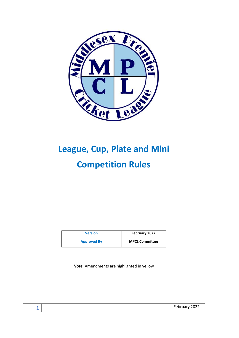

# **League, Cup, Plate and Mini Competition Rules**

| <b>Version</b>     | February 2022         |
|--------------------|-----------------------|
| <b>Approved By</b> | <b>MPCL Committee</b> |

*Note*: Amendments are highlighted in yellow

February 2022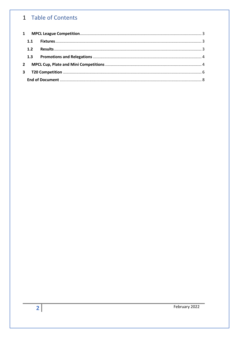# 1 Table of Contents

| 1.1          |  |  |
|--------------|--|--|
| 1.2          |  |  |
|              |  |  |
| $\mathbf{2}$ |  |  |
|              |  |  |
|              |  |  |
|              |  |  |

February 2022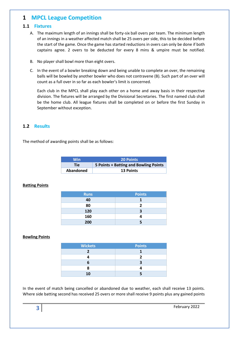## <span id="page-2-0"></span>**1 MPCL League Competition**

#### <span id="page-2-1"></span>**1.1 Fixtures**

- A. The maximum length of an innings shall be forty-six ball overs per team. The minimum length of an innings in a weather affected match shall be 25 overs per side, this to be decided before the start of the game. Once the game has started reductions in overs can only be done if both captains agree. 2 overs to be deducted for every 8 mins & umpire must be notified.
- B. No player shall bowl more than eight overs.
- C. In the event of a bowler breaking down and being unable to complete an over, the remaining balls will be bowled by another bowler who does not contravene (B). Such part of an over will count as a full over in so far as each bowler's limit is concerned.

Each club in the MPCL shall play each other on a home and away basis in their respective division. The fixtures will be arranged by the Divisional Secretaries. The first named club shall be the home club. All league fixtures shall be completed on or before the first Sunday in September without exception.

#### <span id="page-2-2"></span>**1.2 Results**

The method of awarding points shall be as follows:

| Win       | <b>20 Points</b>                      |
|-----------|---------------------------------------|
| Tie:      | 5 Points + Batting and Bowling Points |
| Abandoned | <b>13 Points</b>                      |

#### **Batting Points**

| <b>Runs</b> | <b>Points</b> |
|-------------|---------------|
| 40          |               |
| 80          | 2             |
| 120         | 3             |
| 160         |               |
| 200         |               |

#### **Bowling Points**

| <b>Wickets</b> | <b>Points</b> |
|----------------|---------------|
|                |               |
|                |               |
|                |               |
| ο              |               |
| 10             |               |

In the event of match being cancelled or abandoned due to weather, each shall receive 13 points. Where side batting second has received 25 overs or more shall receive 9 points plus any gained points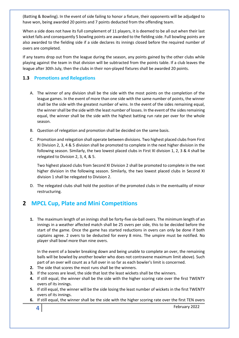(Batting & Bowling). In the event of side failing to honor a fixture, their opponents will be adjudged to have won, being awarded 20 points and 7 points deducted from the offending team.

When a side does not have its full complement of 11 players, it is deemed to be all out when their last wicket falls and consequently 5 bowling points are awarded to the fielding side. Full bowling points are also awarded to the fielding side if a side declares its innings closed before the required number of overs are completed.

If any teams drop out from the league during the season, any points gained by the other clubs while playing against the team in that division will be subtracted from the points table. If a club leaves the league after 30th July, then the clubs in their non-played fixtures shall be awarded 20 points.

#### <span id="page-3-0"></span>**1.3 Promotions and Relegations**

- A. The winner of any division shall be the side with the most points on the completion of the league games. In the event of more than one side with the same number of points, the winner shall be the side with the greatest number of wins. In the event of the sides remaining equal, the winner shall be the side with the least number of losses. In the event of the sides remaining equal, the winner shall be the side with the highest batting run rate per over for the whole season.
- B. Question of relegation and promotion shall be decided on the same basis.
- C. Promotion and relegation shall operate between divisions. Two highest placed clubs from First XI Division 2, 3, 4 & 5 division shall be promoted to complete in the next higher division in the following season. Similarly, the two lowest placed clubs in First XI division 1, 2, 3 & 4 shall be relegated to Division 2, 3, 4, & 5.

Two highest placed clubs from Second XI Division 2 shall be promoted to complete in the next higher division in the following season. Similarly, the two lowest placed clubs in Second XI division 1 shall be relegated to Division 2.

D. The relegated clubs shall hold the position of the promoted clubs in the eventuality of minor restructuring.

## <span id="page-3-1"></span>**2 MPCL Cup, Plate and Mini Competitions**

**1.** The maximum length of an innings shall be forty-five six-ball overs. The minimum length of an innings in a weather affected match shall be 25 overs per side, this to be decided before the start of the game. Once the game has started reductions in overs can only be done if both captains agree. 2 overs to be deducted for every 8 mins. The umpire must be notified. No player shall bowl more than nine overs.

In the event of a bowler breaking down and being unable to complete an over, the remaining balls will be bowled by another bowler who does not contravene maximum limit above). Such part of an over will count as a full over in so far as each bowler's limit is concerned.

- **2.** The side that scores the most runs shall be the winners.
- **3.** If the scores are level, the side that lost the least wickets shall be the winners.
- **4.** If still equal, the winner shall be the side with the higher scoring rate over the first TWENTY overs of its innings.
- **5.** If still equal, the winner will be the side losing the least number of wickets in the first TWENTY overs of its innings.
- **6.** If still equal, the winner shall be the side with the higher scoring rate over the first TEN overs

February 2022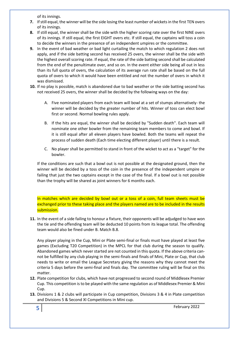of its innings.

- **7.** If still equal, the winner will be the side losing the least number of wickets in the first TEN overs of its innings.
- **8.** If still equal, the winner shall be the side with the higher scoring rate over the first NINE overs of its innings. If still equal, the first EIGHT overs etc. If still equal, the captains will toss a coin to decide the winners in the presence of an independent umpires or the committee.
- **9.** In the event of bad weather or bad light curtailing the match to which regulation 2 does not apply, and if the side batting second has received 25 overs, the winner shall be the side with the highest overall scoring rate. If equal, the rate of the side batting second shall be calculated from the end of the penultimate over, and so on. In the event either side being all out in less than its full quota of overs, the calculation of its average run rate shall be based on the full quota of overs to which it would have been entitled and not the number of overs in which it was dismissed.
- **10.** If no play is possible, match is abandoned due to bad weather or the side batting second has not received 25 overs, the winner shall be decided by the following ways on the day:
	- A. Five nominated players from each team will bowl at a set of stumps alternatively- the winner will be decided by the greater number of hits. Winner of toss can elect bowl first or second. Normal bowling rules apply.
	- B. If the hits are equal, the winner shall be decided by "Sudden death". Each team will nominate one other bowler from the remaining team members to come and bowl. If it is still equal after all eleven players have bowled. Both the teams will repeat the process of sudden death (Each time electing different player) until there is a result.
	- C. No player shall be permitted to stand in front of the wicket to act as a "target" for the bowler.

If the conditions are such that a bowl out is not possible at the designated ground, then the winner will be decided by a toss of the coin in the presence of the independent umpire or failing that just the two captains except in the case of the final. If a bowl out is not possible than the trophy will be shared as joint winners for 6 months each.

In matches which are decided by bowl out or a toss of a coin, full team sheets must be exchanged prior to these taking place and the players named are to be included in the results submission.

**11.** In the event of a side failing to honour a fixture, their opponents will be adjudged to have won the tie and the offending team will be deducted 10 points from its league total. The offending team would also be fined under B. Match B.8.

Any player playing in the Cup, Mini or Plate semi-final or finals must have played at least five games (Excluding T20 Competition) in the MPCL for that club during the season to qualify. Abandoned games which never started are not counted in this quota. If the above criteria cannot be fulfilled by any club playing in the semi-finals and finals of Mini, Plate or Cup, that club needs to write or email the League Secretary giving the reasons why they cannot meet the criteria 5 days before the semi-final and finals day. The committee ruling will be final on this matter.

- **12.** Plate competition for clubs, which have not progressed to second round of Middlesex Premier Cup. This competition is to be played with the same regulation as of Middlesex Premier & Mini Cup.
- **13.** Divisions 1 & 2 clubs will participate in Cup competition, Divisions 3 & 4 in Plate competition and Divisions 5 & Second XI Competitions in Mini cup.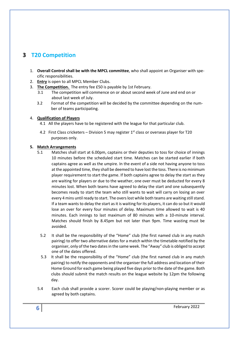# <span id="page-5-0"></span>**3 T20 Competition**

- 1. **Overall Control shall be with the MPCL committee**, who shall appoint an Organiser with specific responsibilities.
- 2. **Entry** is open to all MPCL Member Clubs.
- 3. **The Competition.** The entry fee £50 is payable by 1st February.
	- 3.1 The competition will commence on or about second week of June and end on or about last week of July.
	- 3.2 Format of the competition will be decided by the committee depending on the number of teams participating.

#### 4. **Qualification of Players**

- 4.1 All the players have to be registered with the league for that particular club.
- 4.2 First Class cricketers Division 5 may register  $1<sup>st</sup>$  class or overseas player for T20 purposes only.

#### **5. Match Arrangements**

- 5.1 Matches shall start at 6.00pm, captains or their deputies to toss for choice of innings 10 minutes before the scheduled start time. Matches can be started earlier if both captains agree as well as the umpire. In the event of a side not having anyone to toss at the appointed time, they shall be deemed to have lost the toss. There is no minimum player requirement to start the game. If both captains agree to delay the start as they are waiting for players or due to the weather, one over must be deducted for every 8 minutes lost. When both teams have agreed to delay the start and one subsequently becomes ready to start the team who still wants to wait will carry on losing an over every 4 mins until ready to start. The overs lost while both teams are waiting still stand. If a team wants to delay the start as it is waiting for its players, it can do so but it would lose an over for every four minutes of delay. Maximum time allowed to wait is 40 minutes. Each innings to last maximum of 80 minutes with a 10-minute interval. Matches should finish by 8.45pm but not later than 9pm. Time wasting must be avoided.
	- 5.2 It shall be the responsibility of the "Home" club (the first named club in any match pairing) to offer two alternative dates for a match within the timetable notified by the organiser, only of the two dates in the same week. The "Away" club is obliged to accept one of the dates offered.
	- 5.3 It shall be the responsibility of the "Home" club (the first named club in any match pairing) to notify the opponents and the organiser the full address and location of their Home Ground for each game being played five days prior to the date of the game. Both clubs should submit the match results on the league website by 12pm the following day.
- 5.4 Each club shall provide a scorer. Scorer could be playing/non-playing member or as agreed by both captains.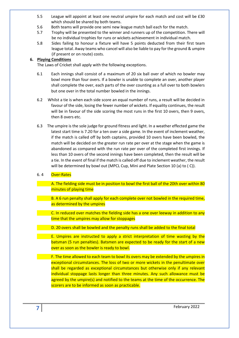- 5.5 League will appoint at least one neutral umpire for each match and cost will be £30 which should be shared by both teams.
- 5.6 Both teams will provide one semi new league match ball each for the match.
- 5.7 Trophy will be presented to the winner and runners up of the competition. There will be no individual trophies for runs or wickets achievement in individual match.
- 5.8 Sides failing to honour a fixture will have 5 points deducted from their first team league total. Away teams who cancel will also be liable to pay for the ground & umpire (if present or on route) costs.

#### **6. Playing Conditions**

The Laws of Cricket shall apply with the following exceptions.

- 6.1 Each innings shall consist of a maximum of 20 six ball over of which no bowler may bowl more than four overs. If a bowler is unable to complete an over, another player shall complete the over, each parts of the over counting as a full over to both bowlers but one over in the total number bowled in the innings.
- 6.2 Whilst a tie is when each side score an equal number of runs, a result will be decided in favour of the side, losing the fewer number of wickets. If equality continues, the result will be in favour of the side scoring the most runs in the first 10 overs, then 9 overs, then 8 overs etc.
- 6.3 The umpire is the sole judge for ground fitness and light. In a weather effected game the latest start time is 7.20 for a ten over a side game. In the event of inclement weather, if the match is called off by both captains, provided 10 overs have been bowled, the match will be decided on the greater run rate per over at the stage when the game is abandoned as compared with the run rate per over of the completed first innings. If less than 10 overs of the second innings have been completed, then the result will be a tie. In the event of final if the match is called off due to inclement weather, the result will be determined by bowl out (MPCL Cup, Mini and Plate Section 10 (a) to ( C)).

#### 6. 4 Over-Rates

A. The fielding side must be in position to bowl the first ball of the 20th over within 80 minutes of playing time

B. A 6 run penalty shall apply for each complete over not bowled in the required time, as determined by the umpires

C. In reduced over matches the fielding side has a one over leeway in addition to any time that the umpires may allow for stoppages

D. 20 overs shall be bowled and the penalty runs shall be added to the final total

E. Umpires are instructed to apply a strict interpretation of time wasting by the batsman (5 run penalties). Batsmen are expected to be ready for the start of a new over as soon as the bowler is ready to bowl.

F. The time allowed to each team to bowl its overs may be extended by the umpires in exceptional circumstances. The loss of two or more wickets in the penultimate over shall be regarded as exceptional circumstances but otherwise only if any relevant individual stoppage lasts longer than three minutes. Any such allowance must be agreed by the umpire(s) and notified to the teams at the time of the occurrence. The scorers are to be informed as soon as practicable.